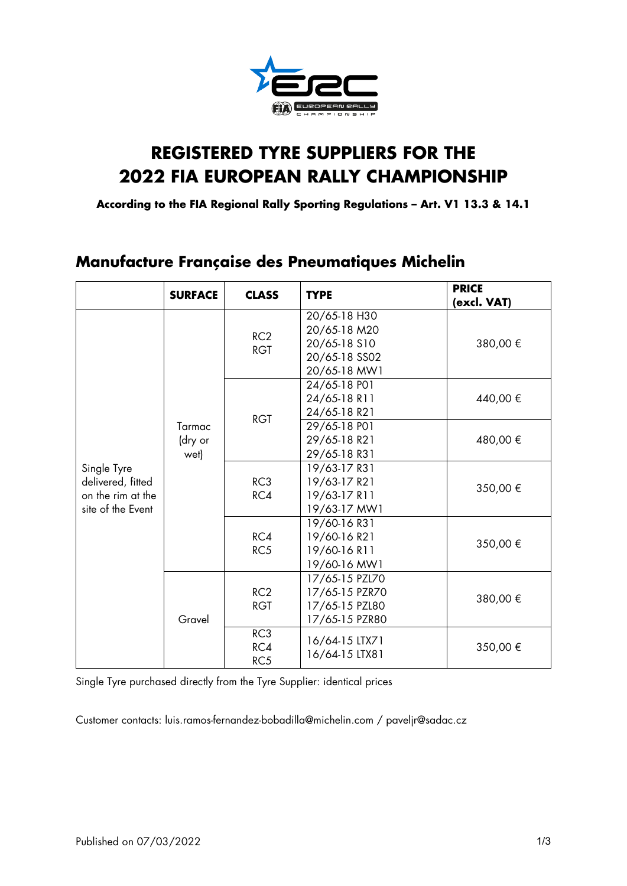

# **REGISTERED TYRE SUPPLIERS FOR THE 2022 FIA EUROPEAN RALLY CHAMPIONSHIP**

**According to the FIA Regional Rally Sporting Regulations – Art. V1 13.3 & 14.1**

### **Manufacture Française des Pneumatiques Michelin**

|                                                                            | <b>SURFACE</b>            | <b>CLASS</b>           | <b>TYPE</b>                                                                   | <b>PRICE</b><br>(excl. VAT) |
|----------------------------------------------------------------------------|---------------------------|------------------------|-------------------------------------------------------------------------------|-----------------------------|
| Single Tyre<br>delivered, fitted<br>on the rim at the<br>site of the Event | Tarmac<br>(dry or<br>wet) | RC2<br><b>RGT</b>      | 20/65-18 H30<br>20/65-18 M20<br>20/65-18 S10<br>20/65-18 SS02<br>20/65-18 MW1 | 380,00€                     |
|                                                                            |                           | <b>RGT</b>             | 24/65-18 PO1<br>24/65-18 R11<br>24/65-18 R21                                  | 440,00 €                    |
|                                                                            |                           |                        | 29/65-18 PO1<br>29/65-18 R21<br>29/65-18 R31                                  | 480,00 €                    |
|                                                                            |                           | RC <sub>3</sub><br>RC4 | 19/63-17 R31<br>19/63-17 R21<br>19/63-17 R11<br>19/63-17 MW1                  | 350,00€                     |
|                                                                            |                           | RC4<br>RC5             | 19/60-16 R31<br>19/60-16 R21<br>19/60-16 R11<br>19/60-16 MW1                  | 350,00 €                    |
|                                                                            | Gravel                    | RC2<br><b>RGT</b>      | 17/65-15 PZL70<br>17/65-15 PZR70<br>17/65-15 PZL80<br>17/65-15 PZR80          | 380,00 €                    |
|                                                                            |                           | RC3<br>RC4<br>RC5      | 16/64-15 LTX71<br>16/64-15 LTX81                                              | 350,00 €                    |

Single Tyre purchased directly from the Tyre Supplier: identical prices

Customer contacts: [luis.ramos-fernandez-bobadilla@michelin.com](mailto:luis.ramos-fernandez-bobadilla@michelin.com) / paveljr@sadac.cz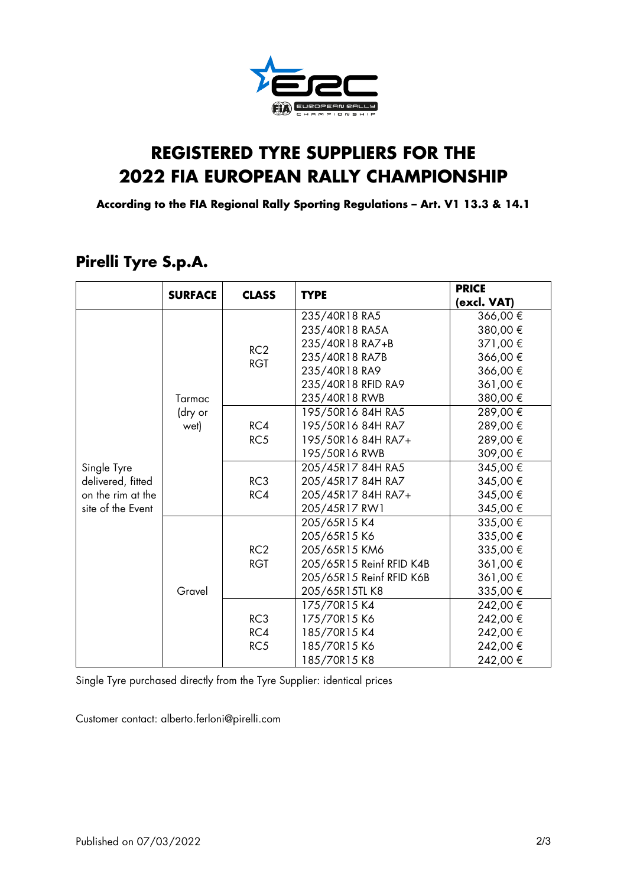

# **REGISTERED TYRE SUPPLIERS FOR THE 2022 FIA EUROPEAN RALLY CHAMPIONSHIP**

**According to the FIA Regional Rally Sporting Regulations – Art. V1 13.3 & 14.1**

|                   | <b>SURFACE</b>            | <b>CLASS</b>      | <b>TYPE</b>                                                                                                                                                                                                                              | <b>PRICE</b><br>(excl. VAT) |
|-------------------|---------------------------|-------------------|------------------------------------------------------------------------------------------------------------------------------------------------------------------------------------------------------------------------------------------|-----------------------------|
|                   | Tarmac<br>(dry or<br>wet) | RC2<br><b>RGT</b> |                                                                                                                                                                                                                                          | 366,00 €                    |
|                   |                           |                   | 235/40R18 RA5A                                                                                                                                                                                                                           | 380,00€                     |
|                   |                           |                   | 235/40R18 RA7+B                                                                                                                                                                                                                          | 371,00 €                    |
|                   |                           |                   | 235/40R18 RA7B                                                                                                                                                                                                                           | 366,00€                     |
|                   |                           |                   | 235/40R18 RA9                                                                                                                                                                                                                            | 366,00€                     |
|                   |                           |                   | 235/40R18 RFID RA9                                                                                                                                                                                                                       | 361,00 €                    |
|                   |                           |                   | 235/40R18 RWB                                                                                                                                                                                                                            | 380,00 €                    |
|                   |                           |                   | 195/50R16 84H RA5                                                                                                                                                                                                                        | 289,00€                     |
|                   |                           | RC4               | 195/50R16 84H RA7                                                                                                                                                                                                                        | 289,00€                     |
|                   |                           | RC5               | 195/50R16 84H RA7+                                                                                                                                                                                                                       | 289,00€                     |
|                   |                           |                   | 195/50R16 RWB                                                                                                                                                                                                                            | 309,00€                     |
| Single Tyre       |                           |                   | 205/45R17 84H RA5                                                                                                                                                                                                                        | 345,00 €                    |
| delivered, fitted |                           | RC3               | 205/45R17 84H RA7                                                                                                                                                                                                                        | 345,00 €                    |
| on the rim at the |                           | RC4               | 205/45R17 84H RA7+                                                                                                                                                                                                                       | 345,00 €                    |
| site of the Event |                           |                   | 235/40R18 RA5<br>205/45R17 RW1<br>205/65R15 K4<br>205/65R15 K6<br>205/65R15 KM6<br>205/65R15 Reinf RFID K4B<br>205/65R15 Reinf RFID K6B<br>205/65R15TLK8<br>175/70R15 K4<br>175/70R15 K6<br>185/70R15 K4<br>185/70R15 K6<br>185/70R15 K8 | 345,00 €                    |
|                   |                           |                   |                                                                                                                                                                                                                                          | 335,00 €                    |
|                   | Gravel                    |                   |                                                                                                                                                                                                                                          | 335,00 €                    |
|                   |                           | RC2               |                                                                                                                                                                                                                                          | 335,00 €                    |
|                   |                           | <b>RGT</b>        |                                                                                                                                                                                                                                          | 361,00 €                    |
|                   |                           |                   |                                                                                                                                                                                                                                          | 361,00 €                    |
|                   |                           |                   |                                                                                                                                                                                                                                          | 335,00 €                    |
|                   |                           |                   |                                                                                                                                                                                                                                          | 242,00 €                    |
|                   |                           | RC3               |                                                                                                                                                                                                                                          | 242,00 €                    |
|                   |                           | RC4               |                                                                                                                                                                                                                                          | 242,00 €                    |
|                   |                           | RC5               |                                                                                                                                                                                                                                          | 242,00 €                    |
|                   |                           |                   |                                                                                                                                                                                                                                          | 242,00 €                    |

### **Pirelli Tyre S.p.A.**

Single Tyre purchased directly from the Tyre Supplier: identical prices

Customer contact: [alberto.ferloni@pirelli.com](mailto:alberto.ferloni@pirelli.com)